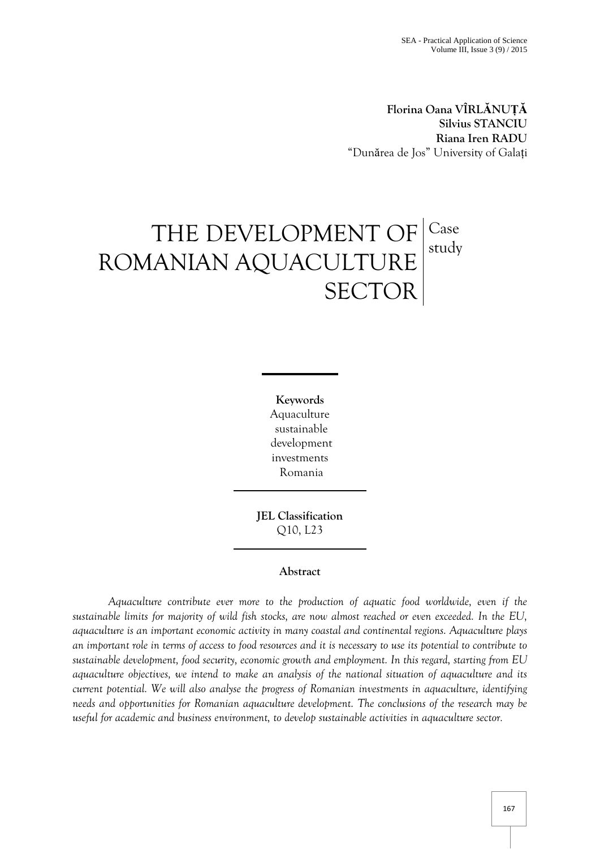**Florina Oana VÎRLĂNUȚĂ Silvius STANCIU Riana Iren RADU** "Dunărea de Jos" University of Galați

# THE DEVELOPMENT OF ROMANIAN AQUACULTURE **SECTOR** Case study

**Keywords** Aquaculture sustainable development investments Romania

**JEL Classification**  Q10, L23

## **Abstract**

*Aquaculture contribute ever more to the production of aquatic food worldwide, even if the sustainable limits for majority of wild fish stocks, are now almost reached or even exceeded. In the EU, aquaculture is an important economic activity in many coastal and continental regions. Aquaculture plays an important role in terms of access to food resources and it is necessary to use its potential to contribute to sustainable development, food security, economic growth and employment. In this regard, starting from EU aquaculture objectives, we intend to make an analysis of the national situation of aquaculture and its current potential. We will also analyse the progress of Romanian investments in aquaculture, identifying needs and opportunities for Romanian aquaculture development. The conclusions of the research may be useful for academic and business environment, to develop sustainable activities in aquaculture sector*.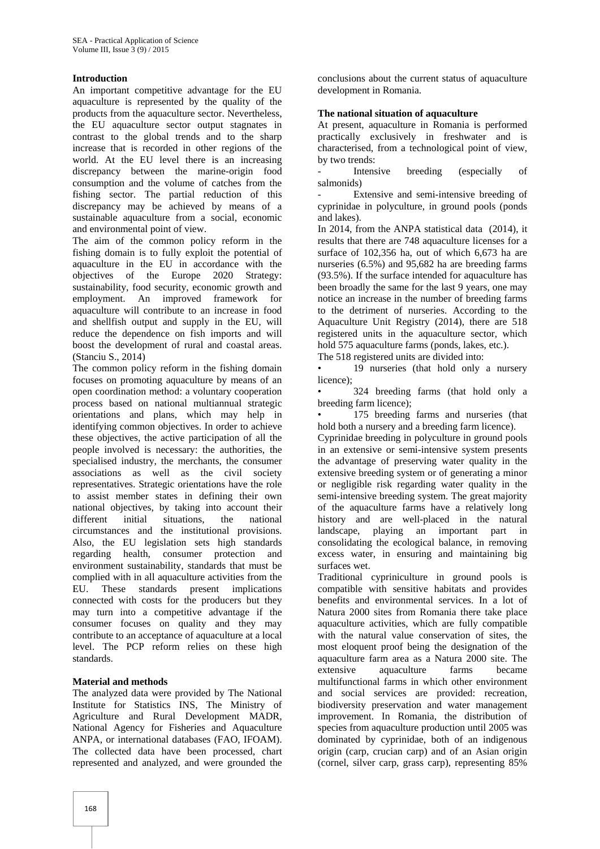#### **Introduction**

An important competitive advantage for the EU aquaculture is represented by the quality of the products from the aquaculture sector. Nevertheless, the EU aquaculture sector output stagnates in contrast to the global trends and to the sharp increase that is recorded in other regions of the world. At the EU level there is an increasing discrepancy between the marine-origin food consumption and the volume of catches from the fishing sector. The partial reduction of this discrepancy may be achieved by means of a sustainable aquaculture from a social, economic and environmental point of view.

The aim of the common policy reform in the fishing domain is to fully exploit the potential of aquaculture in the EU in accordance with the objectives of the Europe 2020 Strategy: sustainability, food security, economic growth and employment. An improved framework for aquaculture will contribute to an increase in food and shellfish output and supply in the EU, will reduce the dependence on fish imports and will boost the development of rural and coastal areas. (Stanciu S., 2014)

The common policy reform in the fishing domain focuses on promoting aquaculture by means of an open coordination method: a voluntary cooperation process based on national multiannual strategic orientations and plans, which may help in identifying common objectives. In order to achieve these objectives, the active participation of all the people involved is necessary: the authorities, the specialised industry, the merchants, the consumer associations as well as the civil society representatives. Strategic orientations have the role to assist member states in defining their own national objectives, by taking into account their different initial situations, the national circumstances and the institutional provisions. Also, the EU legislation sets high standards regarding health, consumer protection and environment sustainability, standards that must be complied with in all aquaculture activities from the EU. These standards present implications connected with costs for the producers but they may turn into a competitive advantage if the consumer focuses on quality and they may contribute to an acceptance of aquaculture at a local level. The PCP reform relies on these high standards.

## **Material and methods**

The analyzed data were provided by The National Institute for Statistics INS, The Ministry of Agriculture and Rural Development MADR, National Agency for Fisheries and Aquaculture ANPA, or international databases (FAO, IFOAM). The collected data have been processed, chart represented and analyzed, and were grounded the conclusions about the current status of aquaculture development in Romania.

#### **The national situation of aquaculture**

At present, aquaculture in Romania is performed practically exclusively in freshwater and is characterised, from a technological point of view, by two trends:

Intensive breeding (especially of salmonids)

Extensive and semi-intensive breeding of cyprinidae in polyculture, in ground pools (ponds and lakes).

In 2014, from the ANPA statistical data (2014), it results that there are 748 aquaculture licenses for a surface of 102,356 ha, out of which 6,673 ha are nurseries (6.5%) and 95,682 ha are breeding farms (93.5%). If the surface intended for aquaculture has been broadly the same for the last 9 years, one may notice an increase in the number of breeding farms to the detriment of nurseries. According to the Aquaculture Unit Registry (2014), there are 518 registered units in the aquaculture sector, which hold 575 aquaculture farms (ponds, lakes, etc.).

The 518 registered units are divided into:

• 19 nurseries (that hold only a nursery licence);

• 324 breeding farms (that hold only a breeding farm licence);

• 175 breeding farms and nurseries (that hold both a nursery and a breeding farm licence).

Cyprinidae breeding in polyculture in ground pools in an extensive or semi-intensive system presents the advantage of preserving water quality in the extensive breeding system or of generating a minor or negligible risk regarding water quality in the semi-intensive breeding system. The great majority of the aquaculture farms have a relatively long history and are well-placed in the natural landscape, playing an important part in consolidating the ecological balance, in removing excess water, in ensuring and maintaining big surfaces wet.

Traditional cypriniculture in ground pools is compatible with sensitive habitats and provides benefits and environmental services. In a lot of Natura 2000 sites from Romania there take place aquaculture activities, which are fully compatible with the natural value conservation of sites, the most eloquent proof being the designation of the aquaculture farm area as a Natura 2000 site. The extensive aquaculture farms became multifunctional farms in which other environment and social services are provided: recreation, biodiversity preservation and water management improvement. In Romania, the distribution of species from aquaculture production until 2005 was dominated by cyprinidae, both of an indigenous origin (carp, crucian carp) and of an Asian origin (cornel, silver carp, grass carp), representing 85%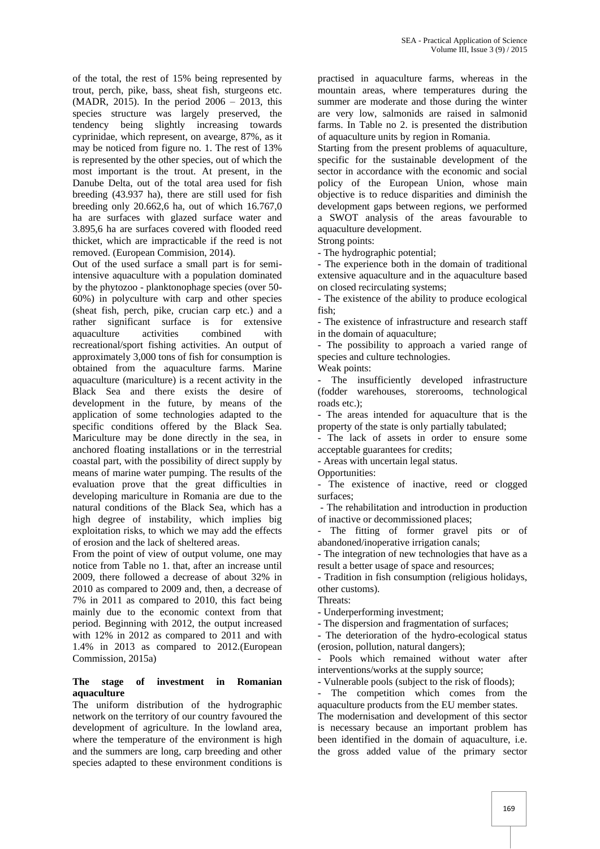of the total, the rest of 15% being represented by trout, perch, pike, bass, sheat fish, sturgeons etc. (MADR, 2015). In the period 2006 – 2013, this species structure was largely preserved, the tendency being slightly increasing towards cyprinidae, which represent, on avearge, 87%, as it may be noticed from figure no. 1. The rest of 13% is represented by the other species, out of which the most important is the trout. At present, in the Danube Delta, out of the total area used for fish breeding (43.937 ha), there are still used for fish breeding only 20.662,6 ha, out of which 16.767,0 ha are surfaces with glazed surface water and 3.895,6 ha are surfaces covered with flooded reed thicket, which are impracticable if the reed is not removed. (European Commision, 2014).

Out of the used surface a small part is for semiintensive aquaculture with a population dominated by the phytozoo - planktonophage species (over 50- 60%) in polyculture with carp and other species (sheat fish, perch, pike, crucian carp etc.) and a rather significant surface is for extensive aquaculture activities combined with recreational/sport fishing activities. An output of approximately 3,000 tons of fish for consumption is obtained from the aquaculture farms. Marine aquaculture (mariculture) is a recent activity in the Black Sea and there exists the desire of development in the future, by means of the application of some technologies adapted to the specific conditions offered by the Black Sea. Mariculture may be done directly in the sea, in anchored floating installations or in the terrestrial coastal part, with the possibility of direct supply by means of marine water pumping. The results of the evaluation prove that the great difficulties in developing mariculture in Romania are due to the natural conditions of the Black Sea, which has a high degree of instability, which implies big exploitation risks, to which we may add the effects of erosion and the lack of sheltered areas.

From the point of view of output volume, one may notice from Table no 1. that, after an increase until 2009, there followed a decrease of about 32% in 2010 as compared to 2009 and, then, a decrease of 7% in 2011 as compared to 2010, this fact being mainly due to the economic context from that period. Beginning with 2012, the output increased with 12% in 2012 as compared to 2011 and with 1.4% in 2013 as compared to 2012.(European Commission, 2015a)

#### **The stage of investment in Romanian aquaculture**

The uniform distribution of the hydrographic network on the territory of our country favoured the development of agriculture. In the lowland area, where the temperature of the environment is high and the summers are long, carp breeding and other species adapted to these environment conditions is

practised in aquaculture farms, whereas in the mountain areas, where temperatures during the summer are moderate and those during the winter are very low, salmonids are raised in salmonid farms. In Table no 2. is presented the distribution of aquaculture units by region in Romania.

Starting from the present problems of aquaculture, specific for the sustainable development of the sector in accordance with the economic and social policy of the European Union, whose main objective is to reduce disparities and diminish the development gaps between regions, we performed a SWOT analysis of the areas favourable to aquaculture development.

Strong points:

- The hydrographic potential;

- The experience both in the domain of traditional extensive aquaculture and in the aquaculture based on closed recirculating systems;

- The existence of the ability to produce ecological fish;

- The existence of infrastructure and research staff in the domain of aquaculture;

- The possibility to approach a varied range of species and culture technologies.

Weak points:

The insufficiently developed infrastructure (fodder warehouses, storerooms, technological roads etc.);

- The areas intended for aquaculture that is the property of the state is only partially tabulated;

The lack of assets in order to ensure some acceptable guarantees for credits;

- Areas with uncertain legal status.

Opportunities:

- The existence of inactive, reed or clogged surfaces;

- The rehabilitation and introduction in production of inactive or decommissioned places;

The fitting of former gravel pits or of abandoned/inoperative irrigation canals;

- The integration of new technologies that have as a result a better usage of space and resources;

- Tradition in fish consumption (religious holidays, other customs).

Threats:

- Underperforming investment;

- The dispersion and fragmentation of surfaces;

- The deterioration of the hydro-ecological status (erosion, pollution, natural dangers);

Pools which remained without water after interventions/works at the supply source;

- Vulnerable pools (subject to the risk of floods);

- The competition which comes from the aquaculture products from the EU member states. The modernisation and development of this sector is necessary because an important problem has been identified in the domain of aquaculture, i.e. the gross added value of the primary sector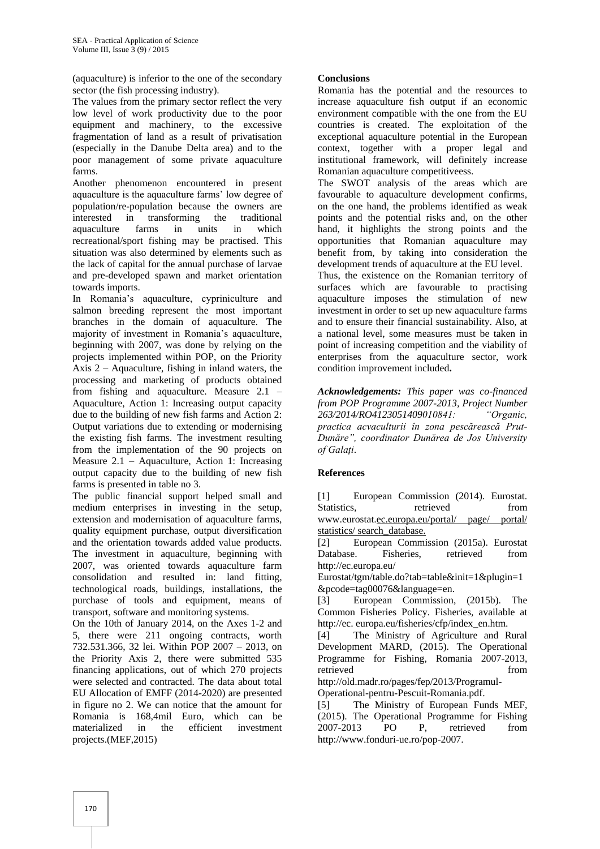(aquaculture) is inferior to the one of the secondary sector (the fish processing industry).

The values from the primary sector reflect the very low level of work productivity due to the poor equipment and machinery, to the excessive fragmentation of land as a result of privatisation (especially in the Danube Delta area) and to the poor management of some private aquaculture farms.

Another phenomenon encountered in present aquaculture is the aquaculture farms' low degree of population/re-population because the owners are interested in transforming the traditional aquaculture farms in units in which recreational/sport fishing may be practised. This situation was also determined by elements such as the lack of capital for the annual purchase of larvae and pre-developed spawn and market orientation towards imports.

In Romania's aquaculture, cypriniculture and salmon breeding represent the most important branches in the domain of aquaculture. The majority of investment in Romania's aquaculture, beginning with 2007, was done by relying on the projects implemented within POP, on the Priority Axis 2 – Aquaculture, fishing in inland waters, the processing and marketing of products obtained from fishing and aquaculture. Measure 2.1 – Aquaculture, Action 1: Increasing output capacity due to the building of new fish farms and Action 2: Output variations due to extending or modernising the existing fish farms. The investment resulting from the implementation of the 90 projects on Measure 2.1 – Aquaculture, Action 1: Increasing output capacity due to the building of new fish farms is presented in table no 3.

The public financial support helped small and medium enterprises in investing in the setup, extension and modernisation of aquaculture farms, quality equipment purchase, output diversification and the orientation towards added value products. The investment in aquaculture, beginning with 2007, was oriented towards aquaculture farm consolidation and resulted in: land fitting, technological roads, buildings, installations, the purchase of tools and equipment, means of transport, software and monitoring systems.

On the 10th of January 2014, on the Axes 1-2 and 5, there were 211 ongoing contracts, worth 732.531.366, 32 lei. Within POP 2007 – 2013, on the Priority Axis 2, there were submitted 535 financing applications, out of which 270 projects were selected and contracted. The data about total EU Allocation of EMFF (2014-2020) are presented in figure no 2. We can notice that the amount for Romania is 168,4mil Euro, which can be materialized in the efficient investment projects.(MEF,2015)

## **Conclusions**

Romania has the potential and the resources to increase aquaculture fish output if an economic environment compatible with the one from the EU countries is created. The exploitation of the exceptional aquaculture potential in the European context, together with a proper legal and institutional framework, will definitely increase Romanian aquaculture competitiveess.

The SWOT analysis of the areas which are favourable to aquaculture development confirms, on the one hand, the problems identified as weak points and the potential risks and, on the other hand, it highlights the strong points and the opportunities that Romanian aquaculture may benefit from, by taking into consideration the development trends of aquaculture at the EU level.

Thus, the existence on the Romanian territory of surfaces which are favourable to practising aquaculture imposes the stimulation of new investment in order to set up new aquaculture farms and to ensure their financial sustainability. Also, at a national level, some measures must be taken in point of increasing competition and the viability of enterprises from the aquaculture sector, work condition improvement included**.**

*Acknowledgements: This paper was co-financed from POP Programme 2007-2013, Project Number 263/2014/RO4123051409010841: "Organic, practica acvaculturii în zona pescărească Prut-Dunăre", coordinator Dunărea de Jos University of Galați*.

## **References**

[1] European Commission (2014). Eurostat. Statistics, retrieved from [www.eurostat.](http://www.eurostat/)ec.europa.eu/portal/ page/ portal/ statistics/ search\_database.

[2] European Commission (2015a). Eurostat Database. Fisheries, retrieved from http://ec.europa.eu/

Eurostat/tgm/table.do?tab=table&init=1&plugin=1 &pcode=tag00076&language=en.

[3] European Commission, (2015b). The Common Fisheries Policy. Fisheries, available at http://ec. europa.eu/fisheries/cfp/index\_en.htm.

[4] The Ministry of Agriculture and Rural Development MARD, (2015). The Operational Programme for Fishing, Romania 2007-2013, retrieved from  $\sim$ 

[http://old.madr.ro/pages/fep/2013/Programul-](http://old.madr.ro/pages/fep/2013/Programul-Operational-pentru-Pescuit-Romania.pdf)[Operational-pentru-Pescuit-Romania.pdf.](http://old.madr.ro/pages/fep/2013/Programul-Operational-pentru-Pescuit-Romania.pdf)

[5] The Ministry of European Funds MEF, (2015). The Operational Programme for Fishing 2007-2013 PO P, retrieved from [http://www.fonduri-ue.ro/pop-2007.](http://www.fonduri-ue.ro/pop-2007)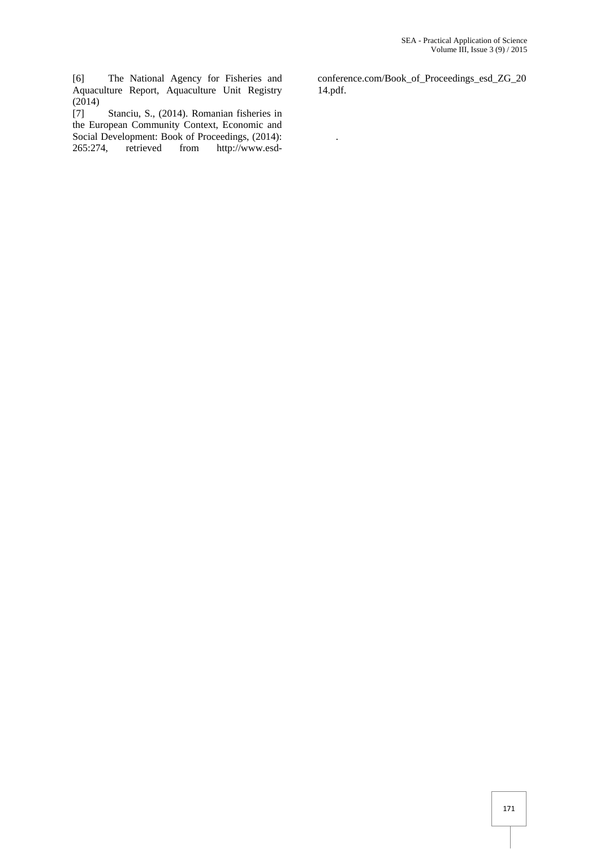[6] The National Agency for Fisheries and Aquaculture Report, Aquaculture Unit Registry (2014)

[7] Stanciu, S., (2014). Romanian fisheries in the European Community Context, Economic and Social Development: Book of Proceedings, (2014): 265:274, retrieved from http://www.esdconference.com/Book\_of\_Proceedings\_esd\_ZG\_20 14.pdf.

.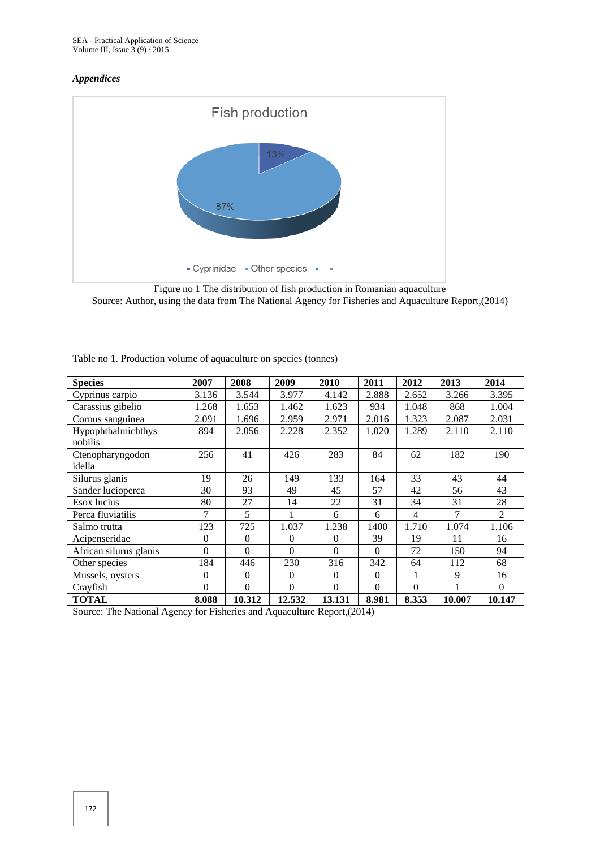#### *Appendices*



Figure no 1 The distribution of fish production in Romanian aquaculture Source: Author, using the data from The National Agency for Fisheries and Aquaculture Report,(2014)

| <b>Species</b>                | 2007           | 2008     | 2009     | 2010     | 2011     | 2012  | 2013   | 2014     |
|-------------------------------|----------------|----------|----------|----------|----------|-------|--------|----------|
| Cyprinus carpio               | 3.136          | 3.544    | 3.977    | 4.142    | 2.888    | 2.652 | 3.266  | 3.395    |
| Carassius gibelio             | 1.268          | 1.653    | 1.462    | 1.623    | 934      | 1.048 | 868    | 1.004    |
| Cornus sanguinea              | 2.091          | 1.696    | 2.959    | 2.971    | 2.016    | 1.323 | 2.087  | 2.031    |
| Hypophthalmichthys<br>nobilis | 894            | 2.056    | 2.228    | 2.352    | 1.020    | 1.289 | 2.110  | 2.110    |
| Ctenopharyngodon<br>idella    | 256            | 41       | 426      | 283      | 84       | 62    | 182    | 190      |
| Silurus glanis                | 19             | 26       | 149      | 133      | 164      | 33    | 43     | 44       |
| Sander lucioperca             | 30             | 93       | 49       | 45       | 57       | 42    | 56     | 43       |
| Esox lucius                   | 80             | 27       | 14       | 22       | 31       | 34    | 31     | 28       |
| Perca fluviatilis             | 7              | 5        |          | 6        | 6        | 4     | 7      | 2        |
| Salmo trutta                  | 123            | 725      | 1.037    | 1.238    | 1400     | 1.710 | 1.074  | 1.106    |
| Acipenseridae                 | $\theta$       | $\theta$ | $\Omega$ | $\theta$ | 39       | 19    | 11     | 16       |
| African silurus glanis        | $\theta$       | $\Omega$ | $\Omega$ | $\Omega$ | $\Omega$ | 72    | 150    | 94       |
| Other species                 | 184            | 446      | 230      | 316      | 342      | 64    | 112    | 68       |
| Mussels, oysters              | $\overline{0}$ | $\theta$ | $\theta$ | $\Omega$ | $\Omega$ |       | 9      | 16       |
| Crayfish                      | $\theta$       | $\Omega$ | $\Omega$ | 0        | $\Omega$ | 0     |        | $\Omega$ |
| <b>TOTAL</b>                  | 8.088          | 10.312   | 12.532   | 13.131   | 8.981    | 8.353 | 10.007 | 10.147   |

Table no 1. Production volume of aquaculture on species (tonnes)

Source: The National Agency for Fisheries and Aquaculture Report,(2014)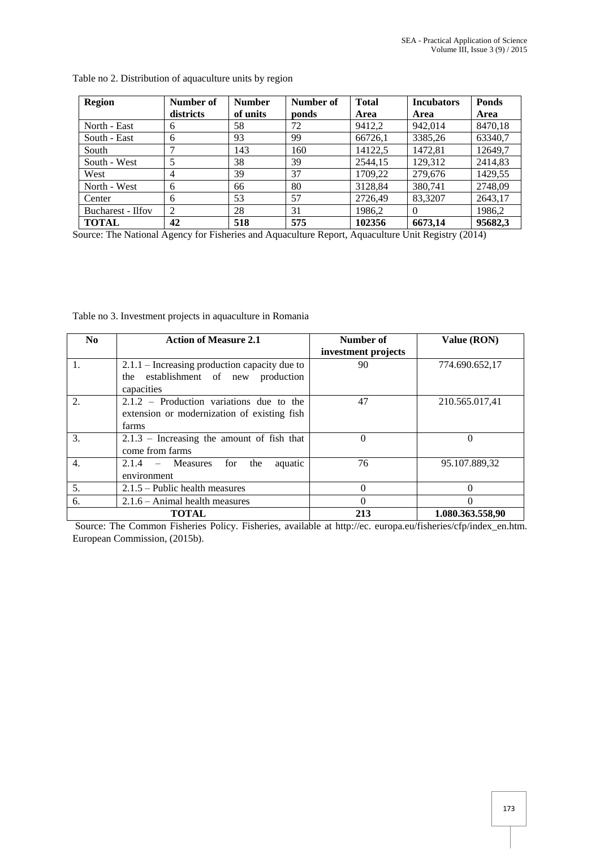| <b>Region</b>     | Number of      | <b>Number</b> | Number of | <b>Total</b> | <b>Incubators</b> | <b>Ponds</b> |
|-------------------|----------------|---------------|-----------|--------------|-------------------|--------------|
|                   | districts      | of units      | ponds     | Area         | Area              | Area         |
| North - East      | 6              | 58            | 72        | 9412,2       | 942.014           | 8470,18      |
| South - East      | 6              | 93            | 99        | 66726,1      | 3385,26           | 63340,7      |
| South             |                | 143           | 160       | 14122,5      | 1472.81           | 12649,7      |
| South - West      | 5              | 38            | 39        | 2544.15      | 129.312           | 2414,83      |
| West              | $\overline{4}$ | 39            | 37        | 1709,22      | 279,676           | 1429,55      |
| North - West      | 6              | 66            | 80        | 3128,84      | 380.741           | 2748,09      |
| Center            | 6              | 53            | 57        | 2726.49      | 83,3207           | 2643,17      |
| Bucharest - Ilfov | 2              | 28            | 31        | 1986,2       |                   | 1986.2       |
| <b>TOTAL</b>      | 42             | 518           | 575       | 102356       | 6673,14           | 95682,3      |

Table no 2. Distribution of aquaculture units by region

Source: The National Agency for Fisheries and Aquaculture Report, Aquaculture Unit Registry (2014)

Table no 3. Investment projects in aquaculture in Romania

| No.              | <b>Action of Measure 2.1</b>                    | Number of           | Value (RON)      |
|------------------|-------------------------------------------------|---------------------|------------------|
|                  |                                                 | investment projects |                  |
| 1.               | $2.1.1$ – Increasing production capacity due to | 90                  | 774.690.652,17   |
|                  | the establishment of new production             |                     |                  |
|                  | capacities                                      |                     |                  |
| 2.               | $2.1.2$ – Production variations due to the      | 47                  | 210.565.017,41   |
|                  | extension or modernization of existing fish     |                     |                  |
|                  | farms                                           |                     |                  |
| 3.               | $2.1.3$ – Increasing the amount of fish that    | $\Omega$            | $\Omega$         |
|                  | come from farms                                 |                     |                  |
| $\overline{4}$ . | $2.1.4 - Measures$<br>the<br>for<br>aquatic     | 76                  | 95.107.889,32    |
|                  | environment                                     |                     |                  |
| 5.               | $2.1.5$ – Public health measures                | $\Omega$            | $\Omega$         |
| 6.               | $2.1.6$ – Animal health measures                | 0                   | 0                |
|                  | <b>TOTAL</b>                                    | 213                 | 1.080.363.558,90 |

Source: The Common Fisheries Policy. Fisheries, available at http://ec. europa.eu/fisheries/cfp/index\_en.htm. European Commission, (2015b).